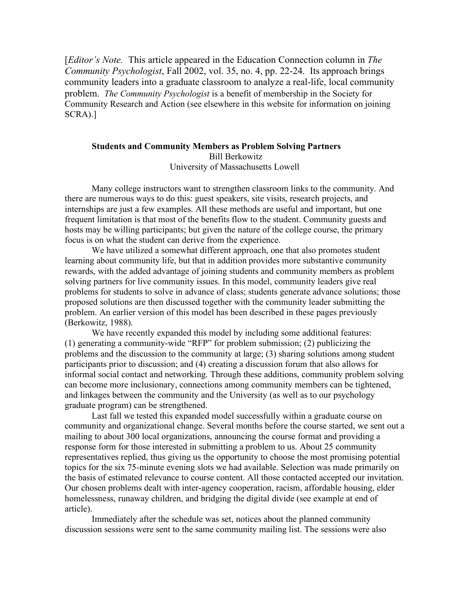[*Editor's Note.* This article appeared in the Education Connection column in *The Community Psychologist*, Fall 2002, vol. 35, no. 4, pp. 22-24. Its approach brings community leaders into a graduate classroom to analyze a real-life, local community problem. *The Community Psychologist* is a benefit of membership in the Society for Community Research and Action (see elsewhere in this website for information on joining SCRA).]

## **Students and Community Members as Problem Solving Partners** Bill Berkowitz University of Massachusetts Lowell

Many college instructors want to strengthen classroom links to the community. And there are numerous ways to do this: guest speakers, site visits, research projects, and internships are just a few examples. All these methods are useful and important, but one frequent limitation is that most of the benefits flow to the student. Community guests and hosts may be willing participants; but given the nature of the college course, the primary focus is on what the student can derive from the experience.

We have utilized a somewhat different approach, one that also promotes student learning about community life, but that in addition provides more substantive community rewards, with the added advantage of joining students and community members as problem solving partners for live community issues. In this model, community leaders give real problems for students to solve in advance of class; students generate advance solutions; those proposed solutions are then discussed together with the community leader submitting the problem. An earlier version of this model has been described in these pages previously (Berkowitz, 1988).

We have recently expanded this model by including some additional features: (1) generating a community-wide "RFP" for problem submission; (2) publicizing the problems and the discussion to the community at large; (3) sharing solutions among student participants prior to discussion; and (4) creating a discussion forum that also allows for informal social contact and networking. Through these additions, community problem solving can become more inclusionary, connections among community members can be tightened, and linkages between the community and the University (as well as to our psychology graduate program) can be strengthened.

Last fall we tested this expanded model successfully within a graduate course on community and organizational change. Several months before the course started, we sent out a mailing to about 300 local organizations, announcing the course format and providing a response form for those interested in submitting a problem to us. About 25 community representatives replied, thus giving us the opportunity to choose the most promising potential topics for the six 75-minute evening slots we had available. Selection was made primarily on the basis of estimated relevance to course content. All those contacted accepted our invitation. Our chosen problems dealt with inter-agency cooperation, racism, affordable housing, elder homelessness, runaway children, and bridging the digital divide (see example at end of article).

Immediately after the schedule was set, notices about the planned community discussion sessions were sent to the same community mailing list. The sessions were also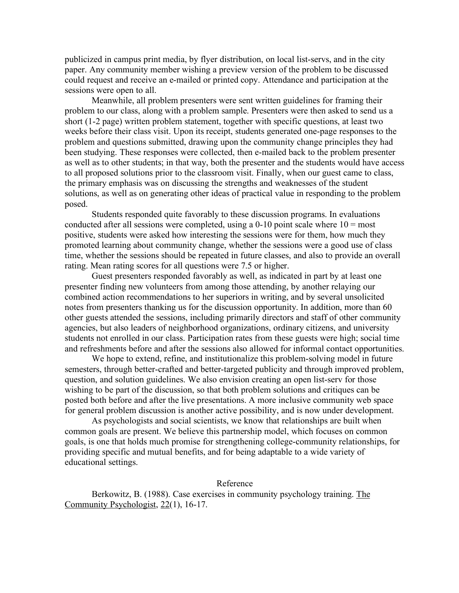publicized in campus print media, by flyer distribution, on local list-servs, and in the city paper. Any community member wishing a preview version of the problem to be discussed could request and receive an e-mailed or printed copy. Attendance and participation at the sessions were open to all.

Meanwhile, all problem presenters were sent written guidelines for framing their problem to our class, along with a problem sample. Presenters were then asked to send us a short (1-2 page) written problem statement, together with specific questions, at least two weeks before their class visit. Upon its receipt, students generated one-page responses to the problem and questions submitted, drawing upon the community change principles they had been studying. These responses were collected, then e-mailed back to the problem presenter as well as to other students; in that way, both the presenter and the students would have access to all proposed solutions prior to the classroom visit. Finally, when our guest came to class, the primary emphasis was on discussing the strengths and weaknesses of the student solutions, as well as on generating other ideas of practical value in responding to the problem posed.

Students responded quite favorably to these discussion programs. In evaluations conducted after all sessions were completed, using a 0-10 point scale where  $10 = \text{most}$ positive, students were asked how interesting the sessions were for them, how much they promoted learning about community change, whether the sessions were a good use of class time, whether the sessions should be repeated in future classes, and also to provide an overall rating. Mean rating scores for all questions were 7.5 or higher.

Guest presenters responded favorably as well, as indicated in part by at least one presenter finding new volunteers from among those attending, by another relaying our combined action recommendations to her superiors in writing, and by several unsolicited notes from presenters thanking us for the discussion opportunity. In addition, more than 60 other guests attended the sessions, including primarily directors and staff of other community agencies, but also leaders of neighborhood organizations, ordinary citizens, and university students not enrolled in our class. Participation rates from these guests were high; social time and refreshments before and after the sessions also allowed for informal contact opportunities.

We hope to extend, refine, and institutionalize this problem-solving model in future semesters, through better-crafted and better-targeted publicity and through improved problem, question, and solution guidelines. We also envision creating an open list-serv for those wishing to be part of the discussion, so that both problem solutions and critiques can be posted both before and after the live presentations. A more inclusive community web space for general problem discussion is another active possibility, and is now under development.

As psychologists and social scientists, we know that relationships are built when common goals are present. We believe this partnership model, which focuses on common goals, is one that holds much promise for strengthening college-community relationships, for providing specific and mutual benefits, and for being adaptable to a wide variety of educational settings.

## Reference

Berkowitz, B. (1988). Case exercises in community psychology training. The Community Psychologist, 22(1), 16-17.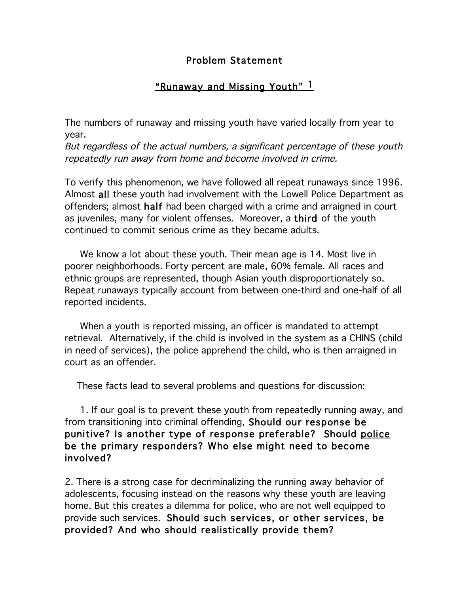## Problem Statement

## "Runaway and Missing Youth" 1

The numbers of runaway and missing youth have varied locally from year to year.

But regardless of the actual numbers, <sup>a</sup> significant percentage of these youth repeatedly run away from home and become involved in crime.

To verify this phenomenon, we have followed all repeat runaways since 1996. Almost all these youth had involvement with the Lowell Police Department as offenders; almost half had been charged with a crime and arraigned in court as juveniles, many for violent offenses. Moreover, a third of the youth continued to commit serious crime as they became adults.

We know a lot about these youth. Their mean age is 14. Most live in poorer neighborhoods. Forty percent are male, 60% female. All races and ethnic groups are represented, though Asian youth disproportionately so. Repeat runaways typically account from between one-third and one-half of all reported incidents.

When a youth is reported missing, an officer is mandated to attempt retrieval. Alternatively, if the child is involved in the system as a CHINS (child in need of services), the police apprehend the child, who is then arraigned in court as an offender.

These facts lead to several problems and questions for discussion:

1. If our goal is to prevent these youth from repeatedly running away, and from transitioning into criminal offending, Should our response be punitive? Is another type of response preferable? Should police be the primary responders? Who else might need to become involved?

2. There is a strong case for decriminalizing the running away behavior of adolescents, focusing instead on the reasons why these youth are leaving home. But this creates a dilemma for police, who are not well equipped to provide such services. Should such services, or other services, be provided? And who should realistically provide them?